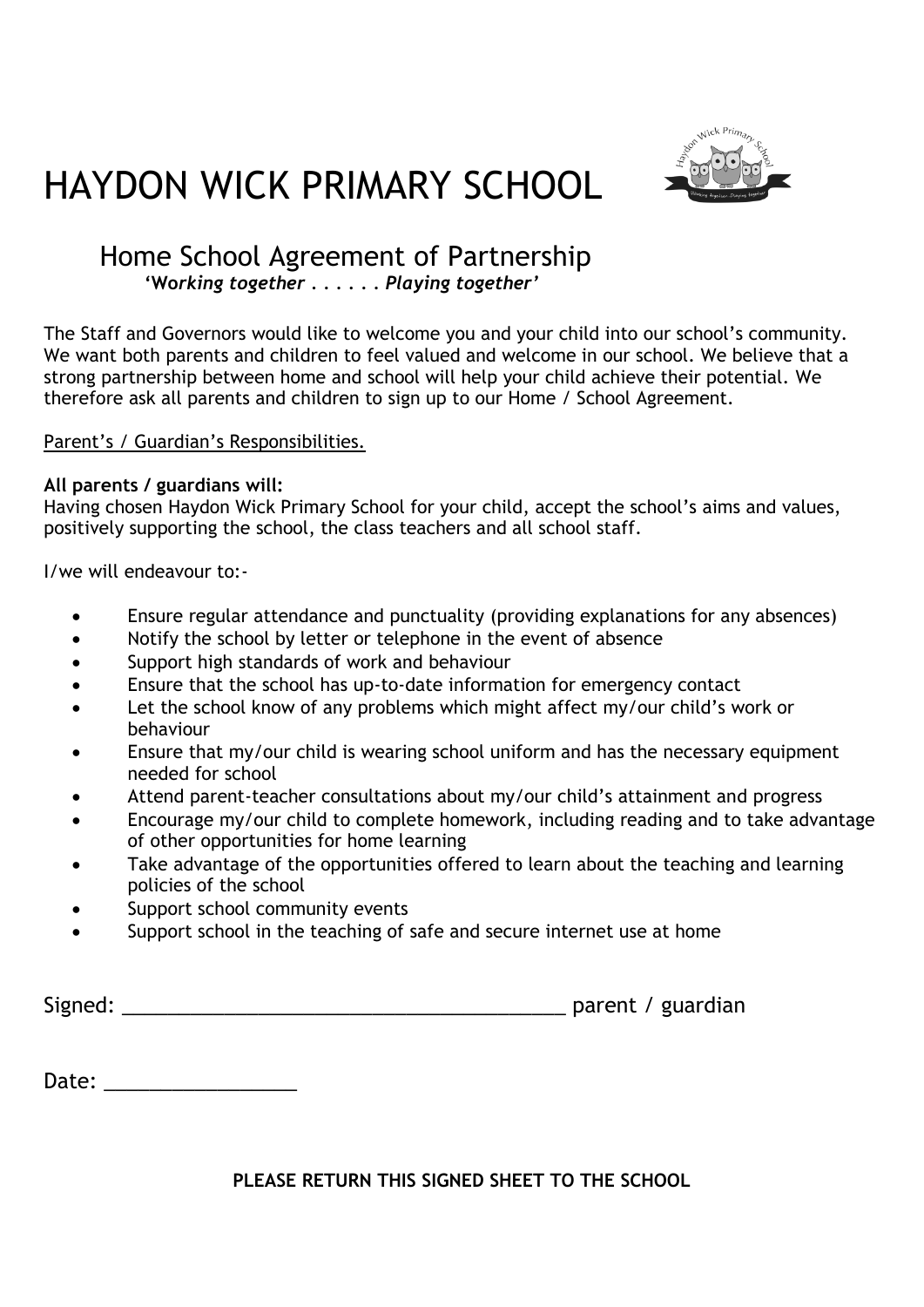



### Home School Agreement of Partnership  **'Wo***rking together . . . . . . Playing together'*

The Staff and Governors would like to welcome you and your child into our school's community. We want both parents and children to feel valued and welcome in our school. We believe that a strong partnership between home and school will help your child achieve their potential. We therefore ask all parents and children to sign up to our Home / School Agreement.

Parent's / Guardian's Responsibilities.

#### **All parents / guardians will:**

Having chosen Haydon Wick Primary School for your child, accept the school's aims and values, positively supporting the school, the class teachers and all school staff.

I/we will endeavour to:-

- Ensure regular attendance and punctuality (providing explanations for any absences)
- Notify the school by letter or telephone in the event of absence
- Support high standards of work and behaviour
- Ensure that the school has up-to-date information for emergency contact
- Let the school know of any problems which might affect my/our child's work or behaviour
- Ensure that my/our child is wearing school uniform and has the necessary equipment needed for school
- Attend parent-teacher consultations about my/our child's attainment and progress
- Encourage my/our child to complete homework, including reading and to take advantage of other opportunities for home learning
- Take advantage of the opportunities offered to learn about the teaching and learning policies of the school
- Support school community events
- Support school in the teaching of safe and secure internet use at home

| Signed: |  | parent / guardian |
|---------|--|-------------------|
|---------|--|-------------------|

Date: \_\_\_\_\_\_\_\_\_\_\_\_\_\_\_\_\_

**PLEASE RETURN THIS SIGNED SHEET TO THE SCHOOL**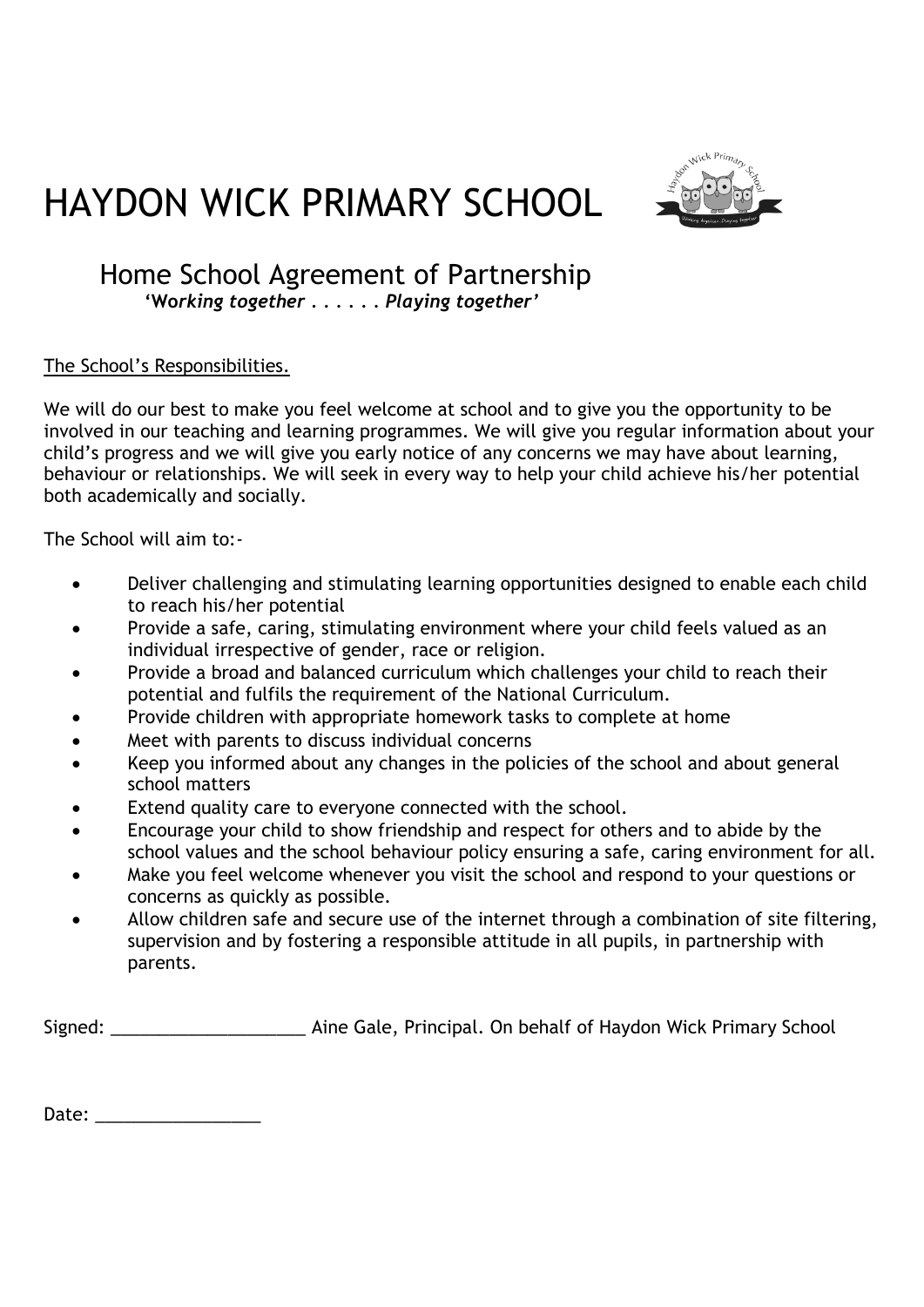



## Home School Agreement of Partnership

 **'Wo***rking together . . . . . . Playing together'*

#### The School's Responsibilities.

We will do our best to make you feel welcome at school and to give you the opportunity to be involved in our teaching and learning programmes. We will give you regular information about your child's progress and we will give you early notice of any concerns we may have about learning, behaviour or relationships. We will seek in every way to help your child achieve his/her potential both academically and socially.

The School will aim to:-

- Deliver challenging and stimulating learning opportunities designed to enable each child to reach his/her potential
- Provide a safe, caring, stimulating environment where your child feels valued as an individual irrespective of gender, race or religion.
- Provide a broad and balanced curriculum which challenges your child to reach their potential and fulfils the requirement of the National Curriculum.
- Provide children with appropriate homework tasks to complete at home
- Meet with parents to discuss individual concerns
- Keep you informed about any changes in the policies of the school and about general school matters
- Extend quality care to everyone connected with the school.
- Encourage your child to show friendship and respect for others and to abide by the school values and the school behaviour policy ensuring a safe, caring environment for all.
- Make you feel welcome whenever you visit the school and respond to your questions or concerns as quickly as possible.
- Allow children safe and secure use of the internet through a combination of site filtering, supervision and by fostering a responsible attitude in all pupils, in partnership with parents.

Signed: The Sale, Principal. On behalf of Haydon Wick Primary School

Date: \_\_\_\_\_\_\_\_\_\_\_\_\_\_\_\_\_